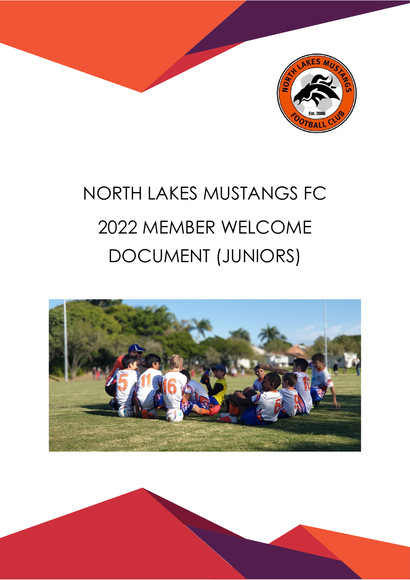

# NORTH LAKES MUSTANGS FC 2022 MEMBER WELCOME DOCUMENT (JUNIORS)

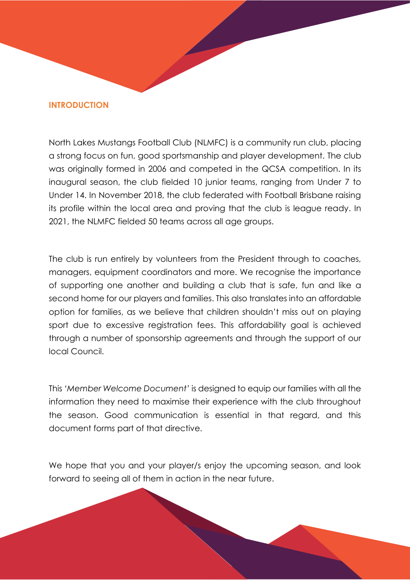#### **INTRODUCTION**

North Lakes Mustangs Football Club (NLMFC) is a community run club, placing a strong focus on fun, good sportsmanship and player development. The club was originally formed in 2006 and competed in the QCSA competition. In its inaugural season, the club fielded 10 junior teams, ranging from Under 7 to Under 14. In November 2018, the club federated with Football Brisbane raising its profile within the local area and proving that the club is league ready. In 2021, the NLMFC fielded 50 teams across all age groups.

The club is run entirely by volunteers from the President through to coaches, managers, equipment coordinators and more. We recognise the importance of supporting one another and building a club that is safe, fun and like a second home for our players and families. This also translates into an affordable option for families, as we believe that children shouldn't miss out on playing sport due to excessive registration fees. This affordability goal is achieved through a number of sponsorship agreements and through the support of our local Council.

This *'Member Welcome Document'* is designed to equip our families with all the information they need to maximise their experience with the club throughout the season. Good communication is essential in that regard, and this document forms part of that directive.

We hope that you and your player/s enjoy the upcoming season, and look forward to seeing all of them in action in the near future.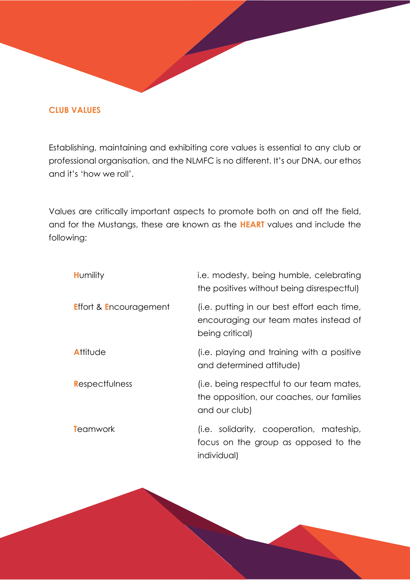#### **CLUB VALUES**

Establishing, maintaining and exhibiting core values is essential to any club or professional organisation, and the NLMFC is no different. It's our DNA, our ethos and it's 'how we roll'.

Values are critically important aspects to promote both on and off the field, and for the Mustangs, these are known as the **HEART** values and include the following:

| <b>Humility</b>                   | i.e. modesty, being humble, celebrating<br>the positives without being disrespectful)                   |
|-----------------------------------|---------------------------------------------------------------------------------------------------------|
| <b>Effort &amp; Encouragement</b> | (i.e. putting in our best effort each time,<br>encouraging our team mates instead of<br>being critical) |
| <b>Allilude</b>                   | (i.e. playing and training with a positive<br>and determined attitude)                                  |
| Respectfulness                    | (i.e. being respectful to our team mates,<br>the opposition, our coaches, our families<br>and our club) |
| <b>T</b> eamwork                  | (i.e. solidarity, cooperation, mateship,<br>focus on the group as opposed to the<br>individual)         |

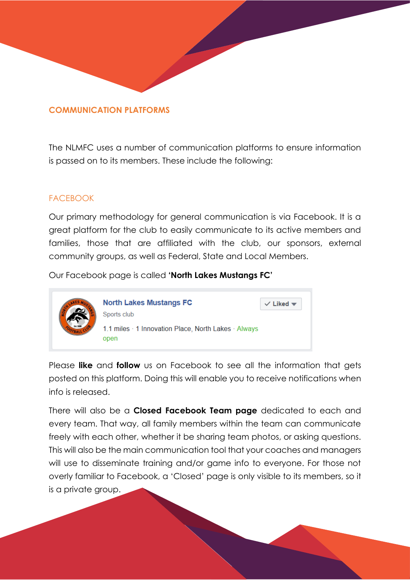#### **COMMUNICATION PLATFORMS**

The NLMFC uses a number of communication platforms to ensure information is passed on to its members. These include the following:

## **FACEBOOK**

Our primary methodology for general communication is via Facebook. It is a great platform for the club to easily communicate to its active members and families, those that are affiliated with the club, our sponsors, external community groups, as well as Federal, State and Local Members.

Our Facebook page is called **'North Lakes Mustangs FC'**



Please **like** and **follow** us on Facebook to see all the information that gets posted on this platform. Doing this will enable you to receive notifications when info is released.

There will also be a **Closed Facebook Team page** dedicated to each and every team. That way, all family members within the team can communicate freely with each other, whether it be sharing team photos, or asking questions. This will also be the main communication tool that your coaches and managers will use to disseminate training and/or game info to everyone. For those not overly familiar to Facebook, a 'Closed' page is only visible to its members, so it is a private group.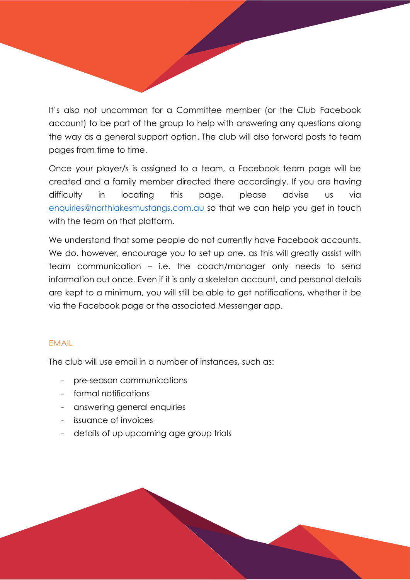It's also not uncommon for a Committee member (or the Club Facebook account) to be part of the group to help with answering any questions along the way as a general support option. The club will also forward posts to team pages from time to time.

Once your player/s is assigned to a team, a Facebook team page will be created and a family member directed there accordingly. If you are having difficulty in locating this page, please advise us via [enquiries@northlakesmustangs.com.au](mailto:enquiries@northlakesmustangs.com.au) so that we can help you get in touch with the team on that platform.

We understand that some people do not currently have Facebook accounts. We do, however, encourage you to set up one, as this will greatly assist with team communication – i.e. the coach/manager only needs to send information out once. Even if it is only a skeleton account, and personal details are kept to a minimum, you will still be able to get notifications, whether it be via the Facebook page or the associated Messenger app.

# EMAIL

The club will use email in a number of instances, such as:

- pre-season communications
- formal notifications
- answering general enquiries
- issuance of invoices
- details of up upcoming age group trials

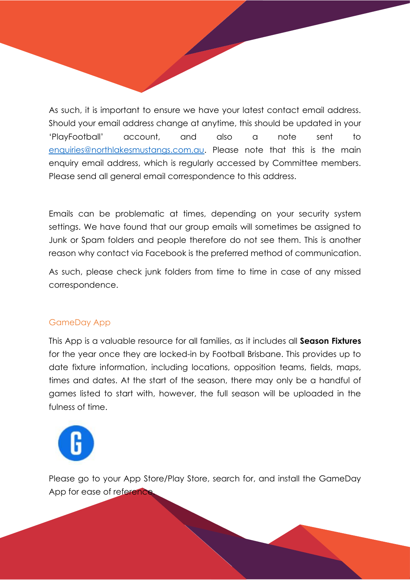As such, it is important to ensure we have your latest contact email address. Should your email address change at anytime, this should be updated in your 'PlayFootball' account, and also a note sent to [enquiries@northlakesmustangs.com.au.](mailto:enquiries@northlakesmustangs.com.au) Please note that this is the main enquiry email address, which is regularly accessed by Committee members. Please send all general email correspondence to this address.

Emails can be problematic at times, depending on your security system settings. We have found that our group emails will sometimes be assigned to Junk or Spam folders and people therefore do not see them. This is another reason why contact via Facebook is the preferred method of communication.

As such, please check junk folders from time to time in case of any missed correspondence.

# GameDay App

This App is a valuable resource for all families, as it includes all **Season Fixtures** for the year once they are locked-in by Football Brisbane. This provides up to date fixture information, including locations, opposition teams, fields, maps, times and dates. At the start of the season, there may only be a handful of games listed to start with, however, the full season will be uploaded in the fulness of time.



Please go to your App Store/Play Store, search for, and install the GameDay App for ease of reference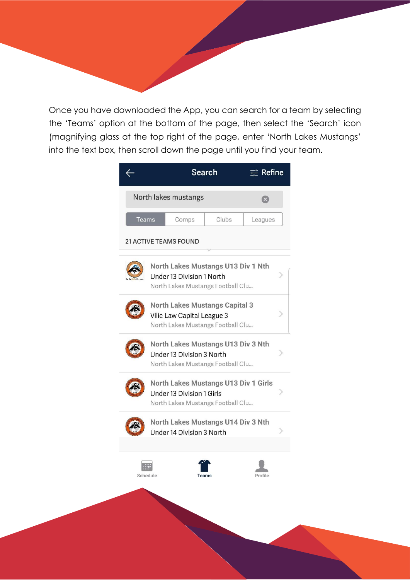Once you have downloaded the App, you can search for a team by selecting the 'Teams' option at the bottom of the page, then select the 'Search' icon (magnifying glass at the top right of the page, enter 'North Lakes Mustangs' into the text box, then scroll down the page until you find your team.

|                              |                                                                                                               | Search | $\equiv$ Refine |
|------------------------------|---------------------------------------------------------------------------------------------------------------|--------|-----------------|
|                              | North lakes mustangs                                                                                          |        |                 |
| <b>Teams</b>                 | Comps                                                                                                         | Clubs  | Leagues         |
| <b>21 ACTIVE TEAMS FOUND</b> |                                                                                                               |        |                 |
|                              | North Lakes Mustangs U13 Div 1 Nth<br>Under 13 Division 1 North<br>North Lakes Mustangs Football Clu          |        |                 |
|                              | <b>North Lakes Mustangs Capital 3</b><br>Vilic Law Capital League 3<br>North Lakes Mustangs Football Clu      |        |                 |
|                              | North Lakes Mustangs U13 Div 3 Nth<br>Under 13 Division 3 North<br>North Lakes Mustangs Football Clu          |        |                 |
|                              | <b>North Lakes Mustangs U13 Div 1 Girls</b><br>Under 13 Division 1 Girls<br>North Lakes Mustangs Football Clu |        |                 |
|                              | North Lakes Mustangs U14 Div 3 Nth<br>Under 14 Division 3 North                                               |        |                 |
|                              |                                                                                                               |        |                 |
|                              |                                                                                                               |        |                 |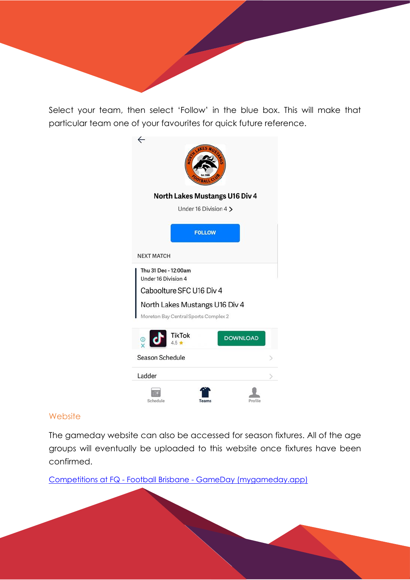Select your team, then select 'Follow' in the blue box. This will make that particular team one of your favourites for quick future reference.

| $\overline{\phantom{0}}$ |                                                     |                                |  |
|--------------------------|-----------------------------------------------------|--------------------------------|--|
|                          | Under 16 Division 4 >                               | North Lakes Mustangs U16 Div 4 |  |
|                          | <b>FOLLOW</b>                                       |                                |  |
| <b>NEXT MATCH</b>        |                                                     |                                |  |
| Under 16 Division 4      | Thu 31 Dec - 12:00am                                |                                |  |
|                          | Caboolture SFC U16 Div 4                            |                                |  |
|                          | North Lakes Mustangs U16 Div 4                      |                                |  |
|                          | Moreton Bay Central Sports Complex 2                |                                |  |
| $\frac{1}{2}$            | $\begin{array}{c}\n\text{7ikTok} \\ 4.5\end{array}$ | <b>DOWNLOAD</b>                |  |
| Season Schedule          |                                                     |                                |  |
| Ladder                   |                                                     |                                |  |
| Schedule                 |                                                     |                                |  |

#### **Website**

The gameday website can also be accessed for season fixtures. All of the age groups will eventually be uploaded to this website once fixtures have been confirmed.

Competitions at FQ - Football Brisbane - [GameDay \(mygameday.app\)](https://websites.mygameday.app/assoc_page.cgi?c=1-9386-0-0-0&a=COMPS)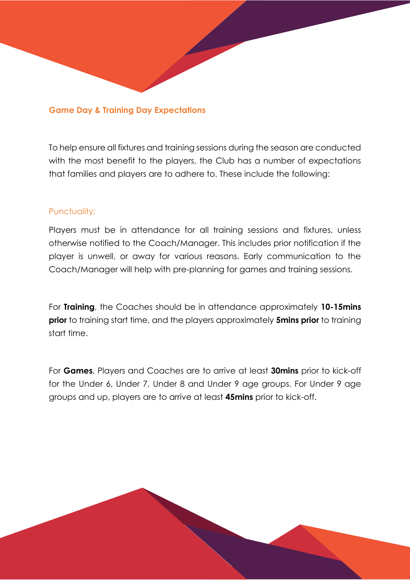#### **Game Day & Training Day Expectations**

To help ensure all fixtures and training sessions during the season are conducted with the most benefit to the players, the Club has a number of expectations that families and players are to adhere to. These include the following:

## Punctuality:

Players must be in attendance for all training sessions and fixtures, unless otherwise notified to the Coach/Manager. This includes prior notification if the player is unwell, or away for various reasons. Early communication to the Coach/Manager will help with pre-planning for games and training sessions.

For **Training**, the Coaches should be in attendance approximately **10-15mins prior** to training start time, and the players approximately **5mins prior** to training start time.

For **Games**, Players and Coaches are to arrive at least **30mins** prior to kick-off for the Under 6, Under 7, Under 8 and Under 9 age groups. For Under 9 age groups and up, players are to arrive at least **45mins** prior to kick-off.

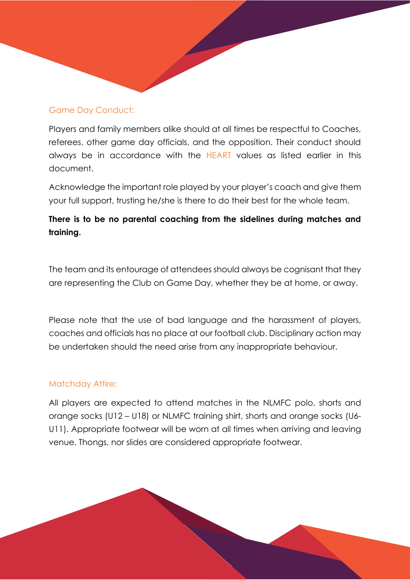## Game Day Conduct:

Players and family members alike should at all times be respectful to Coaches, referees, other game day officials, and the opposition. Their conduct should always be in accordance with the HEART values as listed earlier in this document.

Acknowledge the important role played by your player's coach and give them your full support, trusting he/she is there to do their best for the whole team.

# **There is to be no parental coaching from the sidelines during matches and training.**

The team and its entourage of attendees should always be cognisant that they are representing the Club on Game Day, whether they be at home, or away.

Please note that the use of bad language and the harassment of players, coaches and officials has no place at our football club. Disciplinary action may be undertaken should the need arise from any inappropriate behaviour.

## Matchday Attire:

All players are expected to attend matches in the NLMFC polo, shorts and orange socks (U12 – U18) or NLMFC training shirt, shorts and orange socks (U6- U11). Appropriate footwear will be worn at all times when arriving and leaving venue. Thongs, nor slides are considered appropriate footwear.

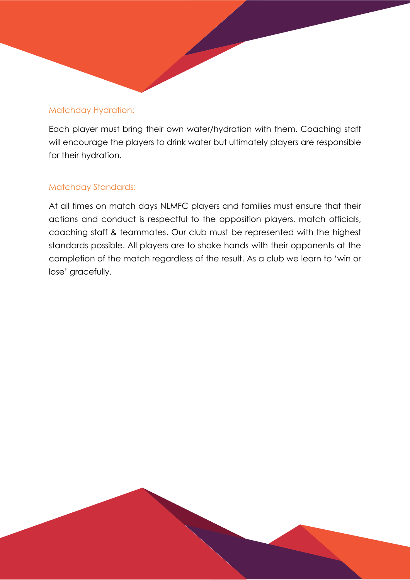## Matchday Hydration:

Each player must bring their own water/hydration with them. Coaching staff will encourage the players to drink water but ultimately players are responsible for their hydration.

# Matchday Standards:

At all times on match days NLMFC players and families must ensure that their actions and conduct is respectful to the opposition players, match officials, coaching staff & teammates. Our club must be represented with the highest standards possible. All players are to shake hands with their opponents at the completion of the match regardless of the result. As a club we learn to 'win or lose' gracefully.

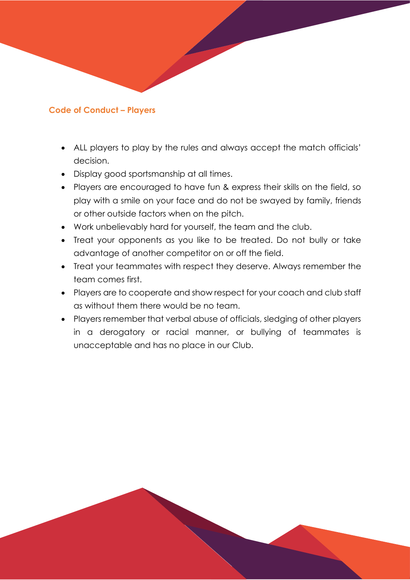## **Code of Conduct – Players**

- ALL players to play by the rules and always accept the match officials' decision.
- Display good sportsmanship at all times.
- Players are encouraged to have fun & express their skills on the field, so play with a smile on your face and do not be swayed by family, friends or other outside factors when on the pitch.
- Work unbelievably hard for yourself, the team and the club.
- Treat your opponents as you like to be treated. Do not bully or take advantage of another competitor on or off the field.
- Treat your teammates with respect they deserve. Always remember the team comes first.
- Players are to cooperate and show respect for your coach and club staff as without them there would be no team.
- Players remember that verbal abuse of officials, sledging of other players in a derogatory or racial manner, or bullying of teammates is unacceptable and has no place in our Club.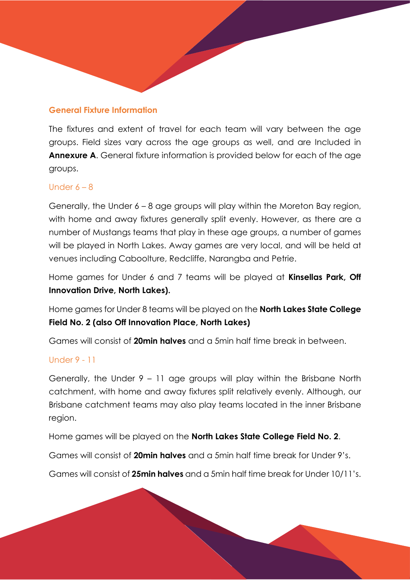## **General Fixture Information**

The fixtures and extent of travel for each team will vary between the age groups. Field sizes vary across the age groups as well, and are Included in **Annexure A.** General fixture information is provided below for each of the age groups.

## Under  $6 - 8$

Generally, the Under 6 – 8 age groups will play within the Moreton Bay region, with home and away fixtures generally split evenly. However, as there are a number of Mustangs teams that play in these age groups, a number of games will be played in North Lakes. Away games are very local, and will be held at venues including Caboolture, Redcliffe, Narangba and Petrie.

Home games for Under 6 and 7 teams will be played at **Kinsellas Park, Off Innovation Drive, North Lakes).**

Home games for Under 8 teams will be played on the **North Lakes State College Field No. 2 (also Off Innovation Place, North Lakes)**

Games will consist of **20min halves** and a 5min half time break in between.

#### Under 9 - 11

Generally, the Under 9 – 11 age groups will play within the Brisbane North catchment, with home and away fixtures split relatively evenly. Although, our Brisbane catchment teams may also play teams located in the inner Brisbane region.

Home games will be played on the **North Lakes State College Field No. 2**.

Games will consist of **20min halves** and a 5min half time break for Under 9's.

Games will consist of **25min halves** and a 5min half time break for Under 10/11's.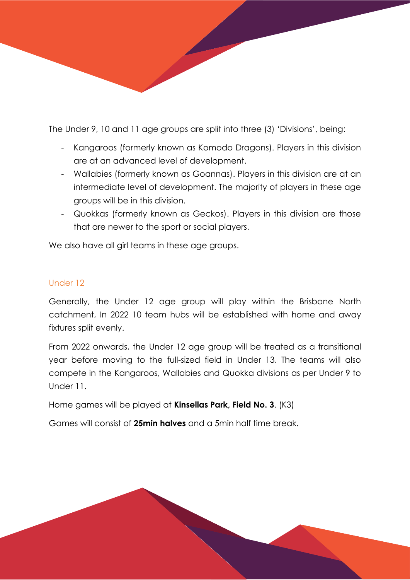The Under 9, 10 and 11 age groups are split into three (3) 'Divisions', being:

- Kangaroos (formerly known as Komodo Dragons). Players in this division are at an advanced level of development.
- Wallabies (formerly known as Goannas). Players in this division are at an intermediate level of development. The majority of players in these age groups will be in this division.
- Quokkas (formerly known as Geckos). Players in this division are those that are newer to the sport or social players.

We also have all girl teams in these age groups.

## Under 12

Generally, the Under 12 age group will play within the Brisbane North catchment, In 2022 10 team hubs will be established with home and away fixtures split evenly.

From 2022 onwards, the Under 12 age group will be treated as a transitional year before moving to the full-sized field in Under 13. The teams will also compete in the Kangaroos, Wallabies and Quokka divisions as per Under 9 to Under 11.

Home games will be played at **Kinsellas Park, Field No. 3**. (K3)

Games will consist of **25min halves** and a 5min half time break.

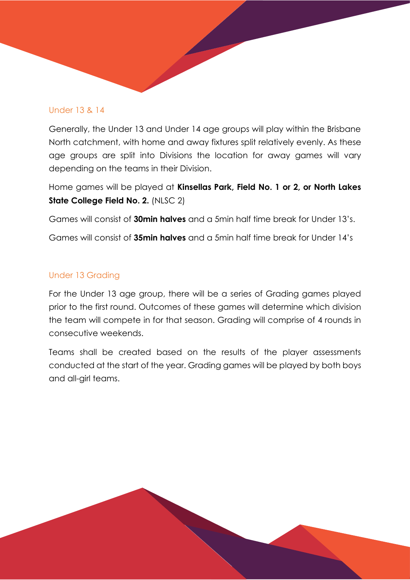## Under 13 & 14

Generally, the Under 13 and Under 14 age groups will play within the Brisbane North catchment, with home and away fixtures split relatively evenly. As these age groups are split into Divisions the location for away games will vary depending on the teams in their Division.

Home games will be played at **Kinsellas Park, Field No. 1 or 2, or North Lakes State College Field No. 2.** (NLSC 2)

Games will consist of **30min halves** and a 5min half time break for Under 13's.

Games will consist of **35min halves** and a 5min half time break for Under 14's

# Under 13 Grading

For the Under 13 age group, there will be a series of Grading games played prior to the first round. Outcomes of these games will determine which division the team will compete in for that season. Grading will comprise of 4 rounds in consecutive weekends.

Teams shall be created based on the results of the player assessments conducted at the start of the year. Grading games will be played by both boys and all-girl teams.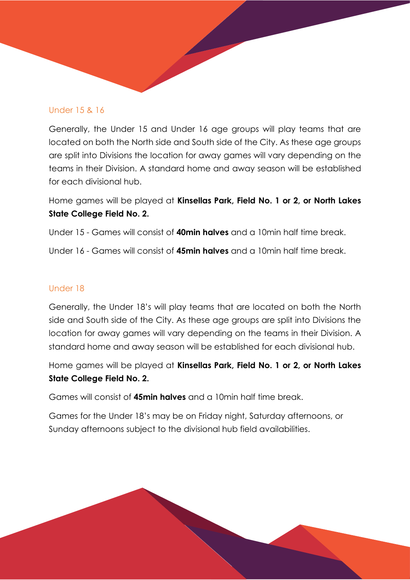## Under 15 & 16

Generally, the Under 15 and Under 16 age groups will play teams that are located on both the North side and South side of the City. As these age groups are split into Divisions the location for away games will vary depending on the teams in their Division. A standard home and away season will be established for each divisional hub.

Home games will be played at **Kinsellas Park, Field No. 1 or 2, or North Lakes State College Field No. 2.**

Under 15 - Games will consist of **40min halves** and a 10min half time break.

Under 16 - Games will consist of **45min halves** and a 10min half time break.

## Under 18

Generally, the Under 18's will play teams that are located on both the North side and South side of the City. As these age groups are split into Divisions the location for away games will vary depending on the teams in their Division. A standard home and away season will be established for each divisional hub.

Home games will be played at **Kinsellas Park, Field No. 1 or 2, or North Lakes State College Field No. 2.**

Games will consist of **45min halves** and a 10min half time break.

Games for the Under 18's may be on Friday night, Saturday afternoons, or Sunday afternoons subject to the divisional hub field availabilities.

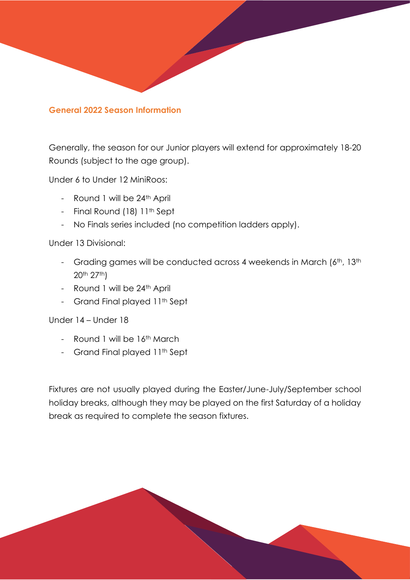## **General 2022 Season Information**

Generally, the season for our Junior players will extend for approximately 18-20 Rounds (subject to the age group).

Under 6 to Under 12 MiniRoos:

- Round 1 will be 24<sup>th</sup> April
- Final Round (18) 11<sup>th</sup> Sept
- No Finals series included (no competition ladders apply).

## Under 13 Divisional:

- Grading games will be conducted across 4 weekends in March (6th, 13th 20th 27th)
- Round 1 will be 24th April
- Grand Final played 11<sup>th</sup> Sept

## Under 14 – Under 18

- Round 1 will be 16<sup>th</sup> March
- Grand Final played 11<sup>th</sup> Sept

Fixtures are not usually played during the Easter/June-July/September school holiday breaks, although they may be played on the first Saturday of a holiday break as required to complete the season fixtures.

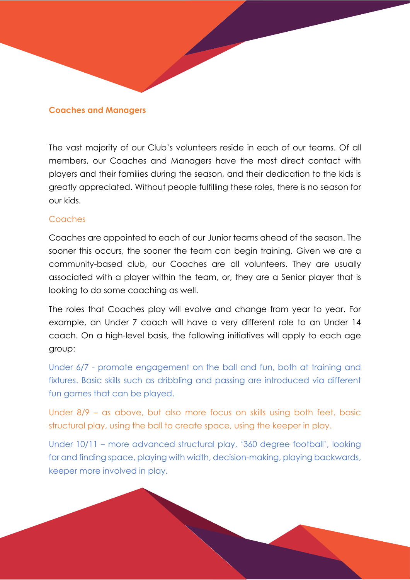#### **Coaches and Managers**

The vast majority of our Club's volunteers reside in each of our teams. Of all members, our Coaches and Managers have the most direct contact with players and their families during the season, and their dedication to the kids is greatly appreciated. Without people fulfilling these roles, there is no season for our kids.

#### Coaches

Coaches are appointed to each of our Junior teams ahead of the season. The sooner this occurs, the sooner the team can begin training. Given we are a community-based club, our Coaches are all volunteers. They are usually associated with a player within the team, or, they are a Senior player that is looking to do some coaching as well.

The roles that Coaches play will evolve and change from year to year. For example, an Under 7 coach will have a very different role to an Under 14 coach. On a high-level basis, the following initiatives will apply to each age group:

Under 6/7 - promote engagement on the ball and fun, both at training and fixtures. Basic skills such as dribbling and passing are introduced via different fun games that can be played.

Under 8/9 – as above, but also more focus on skills using both feet, basic structural play, using the ball to create space, using the keeper in play.

Under 10/11 – more advanced structural play, '360 degree football', looking for and finding space, playing with width, decision-making, playing backwards, keeper more involved in play.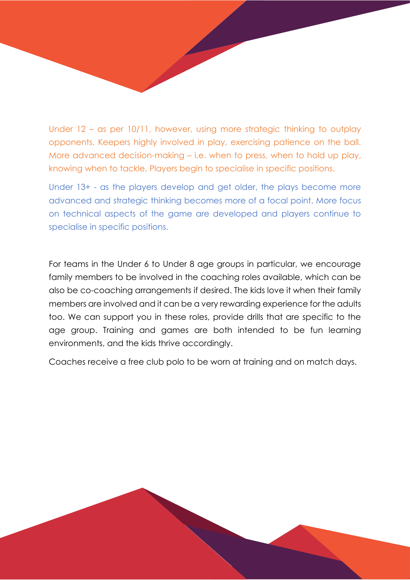Under 12 – as per 10/11, however, using more strategic thinking to outplay opponents. Keepers highly involved in play, exercising patience on the ball. More advanced decision-making – i.e. when to press, when to hold up play, knowing when to tackle. Players begin to specialise in specific positions.

Under 13+ - as the players develop and get older, the plays become more advanced and strategic thinking becomes more of a focal point. More focus on technical aspects of the game are developed and players continue to specialise in specific positions.

For teams in the Under 6 to Under 8 age groups in particular, we encourage family members to be involved in the coaching roles available, which can be also be co-coaching arrangements if desired. The kids love it when their family members are involved and it can be a very rewarding experience for the adults too. We can support you in these roles, provide drills that are specific to the age group. Training and games are both intended to be fun learning environments, and the kids thrive accordingly.

Coaches receive a free club polo to be worn at training and on match days.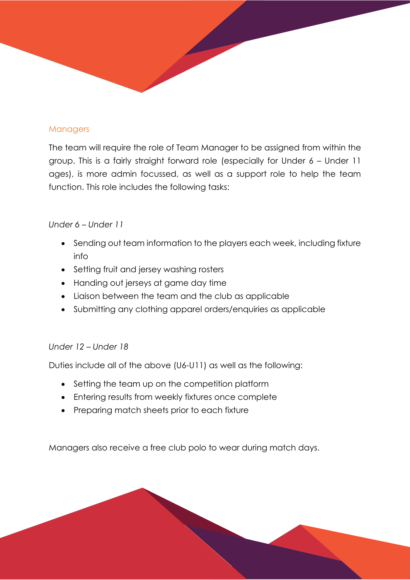## **Managers**

The team will require the role of Team Manager to be assigned from within the group. This is a fairly straight forward role (especially for Under 6 – Under 11 ages), is more admin focussed, as well as a support role to help the team function. This role includes the following tasks:

## *Under 6 – Under 11*

- Sending out team information to the players each week, including fixture info
- Setting fruit and jersey washing rosters
- Handing out jerseys at game day time
- Liaison between the team and the club as applicable
- Submitting any clothing apparel orders/enquiries as applicable

# *Under 12 – Under 18*

Duties include all of the above (U6-U11) as well as the following:

- Setting the team up on the competition platform
- Entering results from weekly fixtures once complete
- Preparing match sheets prior to each fixture

Managers also receive a free club polo to wear during match days.

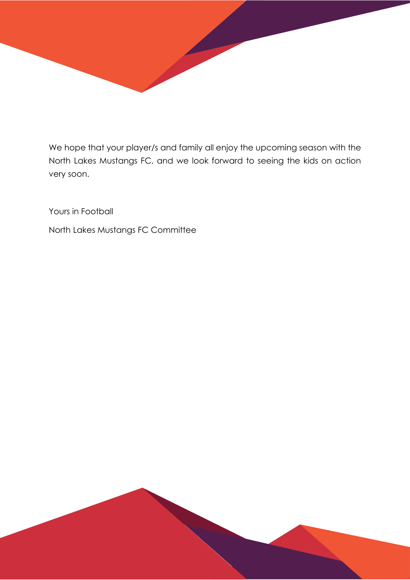

We hope that your player/s and family all enjoy the upcoming season with the North Lakes Mustangs FC, and we look forward to seeing the kids on action very soon.

Yours in Football

North Lakes Mustangs FC Committee

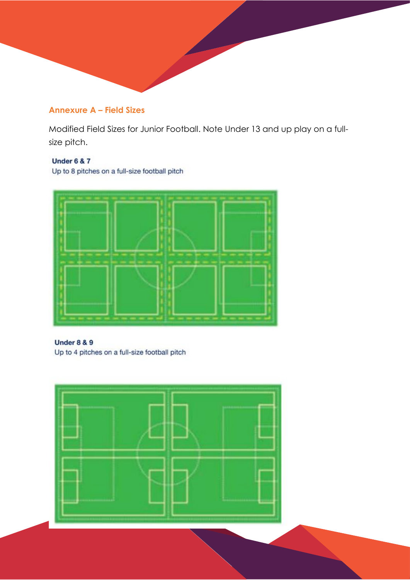# **Annexure A – Field Sizes**

Modified Field Sizes for Junior Football. Note Under 13 and up play on a fullsize pitch.

#### **Under 6 & 7**

Up to 8 pitches on a full-size football pitch



#### **Under 8 & 9**

Up to 4 pitches on a full-size football pitch

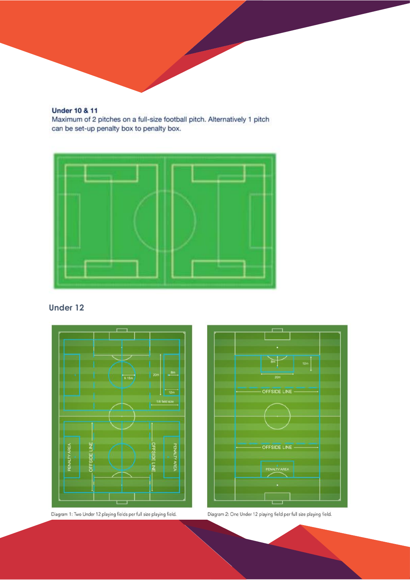#### **Under 10 & 11**

Maximum of 2 pitches on a full-size football pitch. Alternatively 1 pitch can be set-up penalty box to penalty box.



## **Under 12**







Diagram 2: One Under 12 playing field per full size playing field.